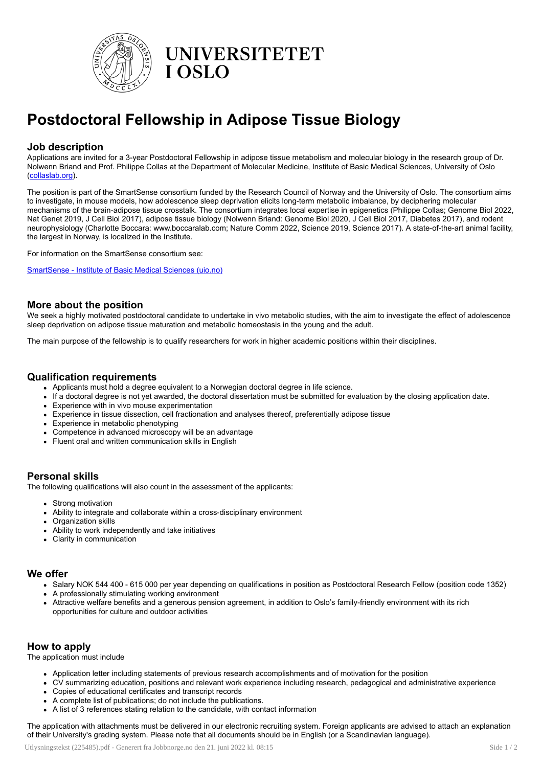

**UNIVERSITETET I OSLO** 

# Postdoctoral Fellowship in Adipose Tissue Biology

### Job description

Applications are invited for a 3-year Postdoctoral Fellowship in adipose tissue metabolism and molecular biology in the research group of Dr. Nolwenn Briand and Prof. Philippe Collas at the Department of Molecular Medicine, Institute of Basic Medical Sciences, University of Oslo ([collaslab.org\)](http://collaslab.org/).

The position is part of the SmartSense consortium funded by the Research Council of Norway and the University of Oslo. The consortium aims to investigate, in mouse models, how adolescence sleep deprivation elicits long-term metabolic imbalance, by deciphering molecular mechanisms of the brain-adipose tissue crosstalk. The consortium integrates local expertise in epigenetics (Philippe Collas; Genome Biol 2022, Nat Genet 2019, J Cell Biol 2017), adipose tissue biology (Nolwenn Briand: Genome Biol 2020, J Cell Biol 2017, Diabetes 2017), and rodent neurophysiology (Charlotte Boccara: www.boccaralab.com; Nature Comm 2022, Science 2019, Science 2017). A state-of-the-art animal facility, the largest in Norway, is localized in the Institute.

For information on the SmartSense consortium see:

[SmartSense](https://www.med.uio.no/imb/english/research/projects/smartsense/index.html) - Institute of Basic Medical Sciences (uio.no)

#### More about the position

We seek a highly motivated postdoctoral candidate to undertake in vivo metabolic studies, with the aim to investigate the effect of adolescence sleep deprivation on adipose tissue maturation and metabolic homeostasis in the young and the adult.

The main purpose of the fellowship is to qualify researchers for work in higher academic positions within their disciplines.

#### Qualification requirements

- Applicants must hold a degree equivalent to a Norwegian doctoral degree in life science.
- If a doctoral degree is not yet awarded, the doctoral dissertation must be submitted for evaluation by the closing application date.
- Experience with in vivo mouse experimentation
- Experience in tissue dissection, cell fractionation and analyses thereof, preferentially adipose tissue
- Experience in metabolic phenotyping
- Competence in advanced microscopy will be an advantage
- Fluent oral and written communication skills in English

# Personal skills

The following qualifications will also count in the assessment of the applicants:

- Strong motivation
- Ability to integrate and collaborate within a cross-disciplinary environment
- Organization skills
- Ability to work independently and take initiatives
- Clarity in communication

#### We offer

- Salary NOK 544 400 615 000 per year depending on qualifications in position as Postdoctoral Research Fellow (position code 1352)
- A professionally stimulating working environment
- Attractive welfare benefits and a generous pension agreement, in addition to Oslo's family-friendly environment with its rich opportunities for culture and outdoor activities

# How to apply

The application must include

- Application letter including statements of previous research accomplishments and of motivation for the position
- CV summarizing education, positions and relevant work experience including research, pedagogical and administrative experience
- Copies of educational certificates and transcript records
- A complete list of publications; do not include the publications.
- A list of 3 references stating relation to the candidate, with contact information

The application with attachments must be delivered in our electronic recruiting system. Foreign applicants are advised to attach an explanation of their University's grading system. Please note that all documents should be in English (or a Scandinavian language).